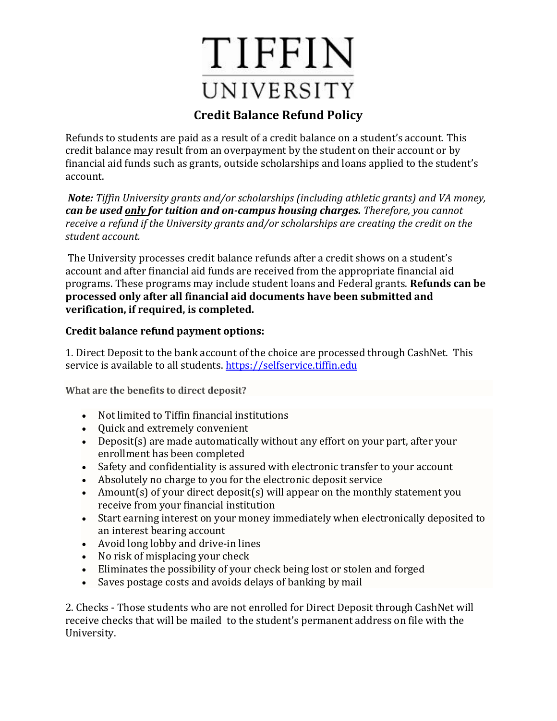## TIFFIN UNIVERSITY

## **Credit Balance Refund Policy**

Refunds to students are paid as a result of a credit balance on a student's account. This credit balance may result from an overpayment by the student on their account or by financial aid funds such as grants, outside scholarships and loans applied to the student's account.

*Note: Tiffin University grants and/or scholarships (including athletic grants) and VA money, can be used only for tuition and on-campus housing charges. Therefore, you cannot receive a refund if the University grants and/or scholarships are creating the credit on the student account.*

The University processes credit balance refunds after a credit shows on a student's account and after financial aid funds are received from the appropriate financial aid programs. These programs may include student loans and Federal grants. **Refunds can be processed only after all financial aid documents have been submitted and verification, if required, is completed.**

## **Credit balance refund payment options:**

1. Direct Deposit to the bank account of the choice are processed through CashNet. This service is available to all students. [https://selfservice.tiffin.edu](https://selfservice.tiffin.edu/)

**What are the benefits to direct deposit?**

- Not limited to Tiffin financial institutions
- Ouick and extremely convenient
- Deposit(s) are made automatically without any effort on your part, after your enrollment has been completed
- Safety and confidentiality is assured with electronic transfer to your account
- Absolutely no charge to you for the electronic deposit service
- Amount(s) of your direct deposit(s) will appear on the monthly statement you receive from your financial institution
- Start earning interest on your money immediately when electronically deposited to an interest bearing account
- Avoid long lobby and drive-in lines
- No risk of misplacing your check
- Eliminates the possibility of your check being lost or stolen and forged
- Saves postage costs and avoids delays of banking by mail

2. Checks - Those students who are not enrolled for Direct Deposit through CashNet will receive checks that will be mailed to the student's permanent address on file with the University.